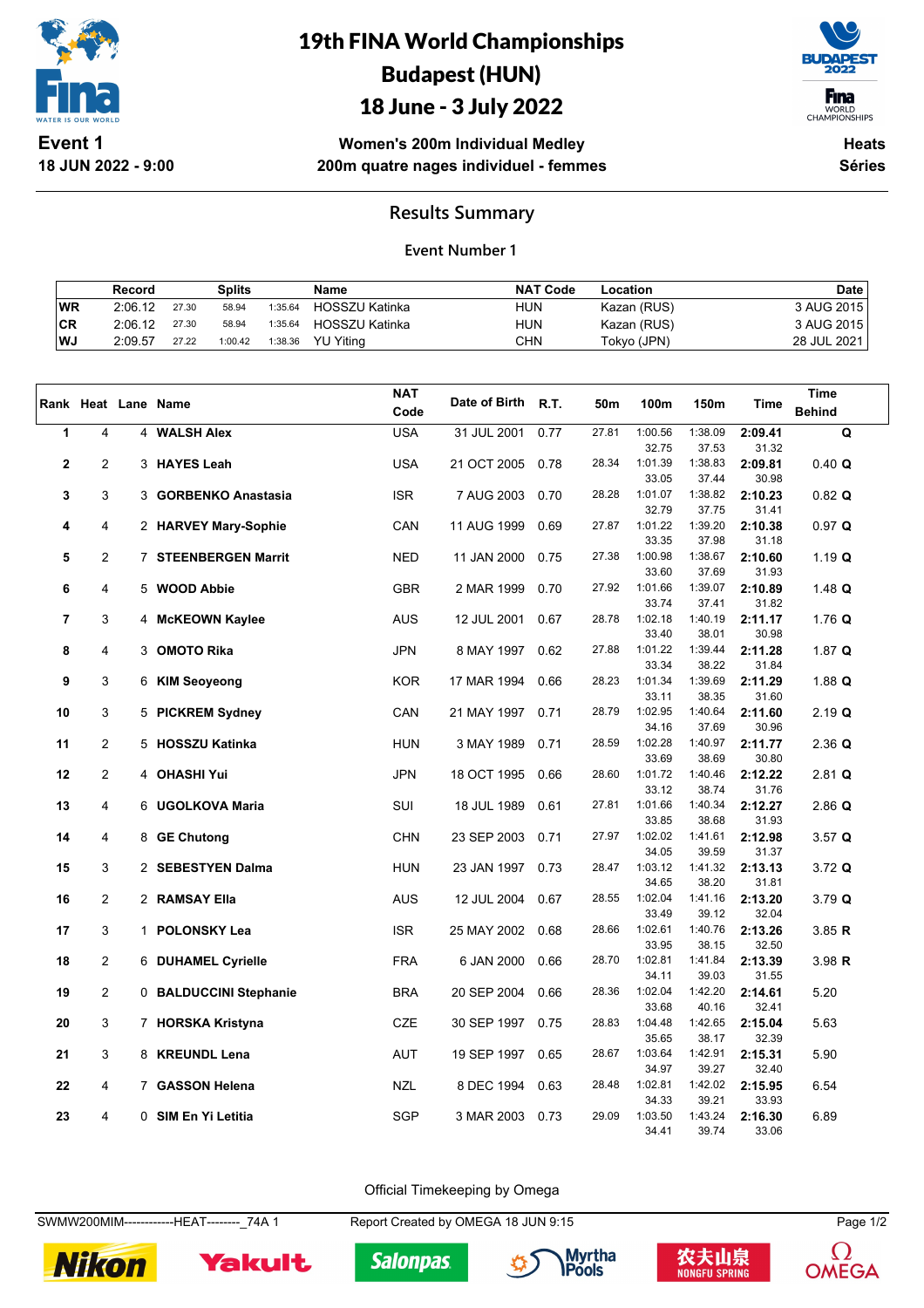

**18 JUN 2022 - 9:00**

# 19th FINA World Championships Budapest (HUN)

# 18 June - 3 July 2022



WORLD<br>CHAMPIONSHIPS

**Women's 200m Individual Medley 200m quatre nages individuel - femmes**

**Heats Séries**

### **Results Summary**

#### **Event Number 1**

|           | Record  |       | Splits  |         | <b>Name</b>      | <b>NAT Code</b> | Location    | <b>Date</b> |
|-----------|---------|-------|---------|---------|------------------|-----------------|-------------|-------------|
| <b>WR</b> | 2:06.12 | 27.30 | 58.94   | 1:35.64 | HOSSZU Katinka   | HUN             | Kazan (RUS) | 3 AUG 2015  |
| CR        | 2:06.12 | 27.30 | 58.94   | 1:35.64 | HOSSZU Katinka   | hun             | Kazan (RUS) | 3 AUG 2015  |
| ∣WJ       | 2:09.57 | 27.22 | 1:00.42 | 1:38.36 | <b>YU Yiting</b> | CHN             | Tokyo (JPN) | 28 JUL 2021 |

|             |                |                        | <b>NAT</b> |               |      |       |                  |                  |                  | <b>Time</b>   |
|-------------|----------------|------------------------|------------|---------------|------|-------|------------------|------------------|------------------|---------------|
|             |                | Rank Heat Lane Name    | Code       | Date of Birth | R.T. | 50m   | 100m             | 150m             | Time             | <b>Behind</b> |
| 1           | 4              | 4 WALSH Alex           | <b>USA</b> |               | 0.77 | 27.81 | 1:00.56          | 1:38.09          | 2:09.41          | Q             |
|             |                |                        |            | 31 JUL 2001   |      |       | 32.75            | 37.53            | 31.32            |               |
| $\mathbf 2$ | 2              | 3 HAYES Leah           | <b>USA</b> | 21 OCT 2005   | 0.78 | 28.34 | 1:01.39          | 1:38.83          | 2:09.81          | 0.40 Q        |
|             |                |                        |            |               |      |       | 33.05            | 37.44            | 30.98            |               |
| 3           | 3              | 3 GORBENKO Anastasia   | <b>ISR</b> | 7 AUG 2003    | 0.70 | 28.28 | 1:01.07          | 1:38.82          | 2:10.23          | $0.82$ Q      |
|             |                |                        |            |               |      |       | 32.79            | 37.75            | 31.41            |               |
| 4           | 4              | 2 HARVEY Mary-Sophie   | CAN        | 11 AUG 1999   | 0.69 | 27.87 | 1:01.22          | 1:39.20          | 2:10.38          | 0.97 Q        |
|             |                |                        |            |               |      |       | 33.35            | 37.98            | 31.18            |               |
| 5           | $\overline{2}$ | 7 STEENBERGEN Marrit   | <b>NED</b> | 11 JAN 2000   | 0.75 | 27.38 | 1:00.98          | 1:38.67          | 2:10.60          | 1.19 Q        |
|             |                |                        |            |               |      |       | 33.60            | 37.69            | 31.93            |               |
| 6           | 4              | 5 WOOD Abbie           | <b>GBR</b> | 2 MAR 1999    | 0.70 | 27.92 | 1:01.66<br>33.74 | 1:39.07<br>37.41 | 2:10.89          | $1.48$ Q      |
| 7           | 3              |                        | <b>AUS</b> |               | 0.67 | 28.78 | 1:02.18          | 1:40.19          | 31.82<br>2:11.17 | 1.76 $Q$      |
|             |                | 4 McKEOWN Kaylee       |            | 12 JUL 2001   |      |       | 33.40            | 38.01            | 30.98            |               |
| 8           | 4              | 3 OMOTO Rika           | <b>JPN</b> | 8 MAY 1997    | 0.62 | 27.88 | 1:01.22          | 1:39.44          | 2:11.28          | 1.87 $Q$      |
|             |                |                        |            |               |      |       | 33.34            | 38.22            | 31.84            |               |
| 9           | 3              | 6 KIM Seoyeong         | <b>KOR</b> | 17 MAR 1994   | 0.66 | 28.23 | 1:01.34          | 1:39.69          | 2:11.29          | 1.88 $Q$      |
|             |                |                        |            |               |      |       | 33.11            | 38.35            | 31.60            |               |
| 10          | 3              | 5 PICKREM Sydney       | CAN        | 21 MAY 1997   | 0.71 | 28.79 | 1:02.95          | 1:40.64          | 2:11.60          | $2.19$ Q      |
|             |                |                        |            |               |      |       | 34.16            | 37.69            | 30.96            |               |
| 11          | $\overline{2}$ | 5 HOSSZU Katinka       | <b>HUN</b> | 3 MAY 1989    | 0.71 | 28.59 | 1:02.28          | 1:40.97          | 2:11.77          | $2.36$ Q      |
|             | $\overline{2}$ |                        |            |               |      | 28.60 | 33.69<br>1:01.72 | 38.69<br>1:40.46 | 30.80            |               |
| 12          |                | 4 OHASHI Yui           | JPN        | 18 OCT 1995   | 0.66 |       | 33.12            | 38.74            | 2:12.22<br>31.76 | $2.81$ Q      |
| 13          | 4              | 6 UGOLKOVA Maria       | SUI        | 18 JUL 1989   | 0.61 | 27.81 | 1:01.66          | 1:40.34          | 2:12.27          | $2.86$ Q      |
|             |                |                        |            |               |      |       | 33.85            | 38.68            | 31.93            |               |
| 14          | 4              | 8 GE Chutong           | <b>CHN</b> | 23 SEP 2003   | 0.71 | 27.97 | 1:02.02          | 1:41.61          | 2:12.98          | 3.57Q         |
|             |                |                        |            |               |      |       | 34.05            | 39.59            | 31.37            |               |
| 15          | 3              | 2 SEBESTYEN Dalma      | <b>HUN</b> | 23 JAN 1997   | 0.73 | 28.47 | 1:03.12          | 1:41.32          | 2:13.13          | 3.72 Q        |
|             |                |                        |            |               |      |       | 34.65            | 38.20            | 31.81            |               |
| 16          | $\overline{2}$ | 2 RAMSAY Ella          | <b>AUS</b> | 12 JUL 2004   | 0.67 | 28.55 | 1:02.04          | 1:41.16          | 2:13.20          | 3.79 Q        |
|             |                |                        |            |               |      | 28.66 | 33.49<br>1:02.61 | 39.12            | 32.04            |               |
| 17          | 3              | 1 POLONSKY Lea         | <b>ISR</b> | 25 MAY 2002   | 0.68 |       | 33.95            | 1:40.76<br>38.15 | 2:13.26<br>32.50 | 3.85 R        |
| 18          | 2              | 6 DUHAMEL Cyrielle     | <b>FRA</b> | 6 JAN 2000    | 0.66 | 28.70 | 1:02.81          | 1:41.84          | 2:13.39          | 3.98 R        |
|             |                |                        |            |               |      |       | 34.11            | 39.03            | 31.55            |               |
| 19          | $\overline{2}$ | 0 BALDUCCINI Stephanie | <b>BRA</b> | 20 SEP 2004   | 0.66 | 28.36 | 1:02.04          | 1:42.20          | 2:14.61          | 5.20          |
|             |                |                        |            |               |      |       | 33.68            | 40.16            | 32.41            |               |
| 20          | 3              | 7 HORSKA Kristyna      | CZE        | 30 SEP 1997   | 0.75 | 28.83 | 1:04.48          | 1:42.65          | 2:15.04          | 5.63          |
|             |                |                        |            |               |      |       | 35.65            | 38.17            | 32.39            |               |
| 21          | 3              | 8 KREUNDL Lena         | <b>AUT</b> | 19 SEP 1997   | 0.65 | 28.67 | 1:03.64          | 1:42.91          | 2:15.31          | 5.90          |
|             |                |                        |            |               |      |       | 34.97            | 39.27            | 32.40            |               |
| 22          | 4              | 7 GASSON Helena        | <b>NZL</b> | 8 DEC 1994    | 0.63 | 28.48 | 1:02.81<br>34.33 | 1:42.02<br>39.21 | 2:15.95<br>33.93 | 6.54          |
| 23          | 4              | 0 SIM En Yi Letitia    | <b>SGP</b> | 3 MAR 2003    | 0.73 | 29.09 | 1:03.50          | 1:43.24          | 2:16.30          | 6.89          |
|             |                |                        |            |               |      |       | 34.41            | 39.74            | 33.06            |               |

Official Timekeeping by Omega

SWMW200MIM------------HEAT--------\_74A 1 Report Created by OMEGA 18 JUN 9:15 Page 1/2



Yakult